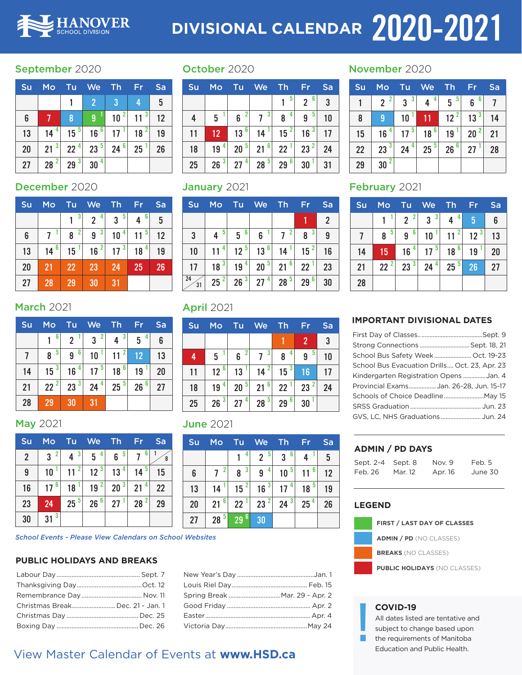

# **DIVISIONAL CALENDAR 2020-2021**

## September 2020

| Su | <b>Mo</b> | Tu       | <b>We</b>            | Th                   | Fr       | Sa |
|----|-----------|----------|----------------------|----------------------|----------|----|
|    |           |          | 2 <sup>1</sup>       | 3                    | 4        | 5  |
| 6  |           | 8        | 1<br>9               | $\overline{2}$<br>10 | $11^{3}$ | 12 |
| 13 | 4<br>14   | $15^{5}$ | $16^{61}$            | 17                   | $18^{2}$ | 19 |
| 20 | -3<br>21  | $22^{4}$ | 23 <sup>5</sup>      | $24^{6}$             | 25       | 26 |
| 27 | 2<br>28   | 3<br>29  | $\overline{4}$<br>30 |                      |          |    |

## December 2020

| Su | Mo      | Tu.                 | We                  | <b>Th</b>            | Fr      | Sa |
|----|---------|---------------------|---------------------|----------------------|---------|----|
|    |         | 3                   | 4<br>$2^{\circ}$    | 5<br>$\mathbf{3}$    | 6<br>4  | 5  |
| 6  | -1      | $\overline{2}$<br>8 | 3 <sup>1</sup><br>9 | $\overline{4}$<br>10 | 5<br>11 | 12 |
| 13 | 6<br>14 | 15                  | $\mathbf{2}$<br>16  | 17 <sup>3</sup>      | 18      | 19 |
| 20 | 21      | 22                  | 23                  | 24                   | 25      | 26 |
| 27 | 28      | 29                  | 30                  | 31                   |         |    |

## **March 2021**

| Su | Mo      | Tu             | We                | Th                   | Fr              | Sa |
|----|---------|----------------|-------------------|----------------------|-----------------|----|
|    | 6       | $\overline{2}$ | $\mathbf{2}$<br>3 | -3<br>$\overline{4}$ | 4<br>5          | 6  |
|    | -5<br>8 | 6<br>9         | 10                | 11                   | 12              | 13 |
| 14 | 15      | 4<br>16        | -5<br>17          | 6<br>18              | 19              | 20 |
| 21 | $22^2$  | $23^{3}$       | 24 <sup>4</sup>   | $25^{5}$             | 26 <sup>6</sup> | 27 |
| 28 | 29      | 30             | 31                |                      |                 |    |

## May 2021

| Su             | Mo                | <b>Tu</b>            | We                   | Th,      | Fr                   | Sa |
|----------------|-------------------|----------------------|----------------------|----------|----------------------|----|
| $\overline{2}$ | $\mathbf{2}$<br>3 | -3<br>4              | 4<br>$5\phantom{.0}$ | 5<br>6   | 6                    | 8  |
| 9              | 10                | $\overline{2}$<br>11 | 12 <sup>3</sup>      | 4<br>13  | $14^5$               | 15 |
| 16             | 6<br>17           | 18                   | 19 <sup>2</sup>      | $20^{3}$ | 4<br>21              | 22 |
| 23             | 24                | 25 <sup>5</sup>      | 26 <sup>6</sup>      | 27       | $\overline{2}$<br>28 | 29 |
| 30             | $31^{3}$          |                      |                      |          |                      |    |

*School Events - Please View Calendars on School Websites*

## **PUBLIC HOLIDAYS AND BREAKS**

| Christmas Break Dec. 21 - Jan. 1 |  |
|----------------------------------|--|
|                                  |  |
|                                  |  |

## October 2020

| Su | <b>Mo</b> | Tu              | <b>We</b>                                 | Th                | Fr                               | Sa             |
|----|-----------|-----------------|-------------------------------------------|-------------------|----------------------------------|----------------|
|    |           |                 |                                           | -5                | 6 <sup>1</sup><br>$\overline{2}$ | $\overline{3}$ |
| 4  | 5         | 6               | $\overline{\mathbf{3}}$<br>$\overline{1}$ | 4<br>8            | -5<br>9                          | 10             |
| 11 | 12        | 6<br>13         | 14                                        | 15                | 16 <sup>3</sup>                  | 17             |
| 18 | 4<br>19   | 20 <sup>5</sup> | 21 <sup>6</sup>                           | 22 <sup>1</sup>   | $23^{2}$                         | 24             |
| 25 | 26        | -4<br>27        | $28^{5}$                                  | $6^{\circ}$<br>29 | 30                               | 31             |

## January 2021

| Su           | Mo      | Tu       | <b>We</b> | Th           | Fr      | Sa             |
|--------------|---------|----------|-----------|--------------|---------|----------------|
|              |         |          |           |              |         | $\overline{2}$ |
| $\mathbf{3}$ | 5<br>4  | 6<br>5   | 6         | $\mathbf{2}$ | 3<br>8  | 9              |
| 10           | 4<br>11 | $12^{5}$ | 6<br>13   | 14           | 15      | 16             |
| 17           | 3<br>18 | 4<br>19  | $20^{5}$  | 6<br>21      | 22      | 23             |
| 24<br>31     | 2<br>25 | $26^{3}$ | 4<br>27   | 5<br>28      | 6<br>29 | 30             |

## April 2021

| Su | Mo      | Tu                   | We                      | Th              | Fr                 | Sa |
|----|---------|----------------------|-------------------------|-----------------|--------------------|----|
|    |         |                      |                         |                 | $\overline{2}$     | 3  |
| 4  | 5       | $\mathbf{2}$<br>6    | $\overline{\mathbf{3}}$ | 4<br>8          | 5<br>9             | 10 |
| 11 | 6<br>12 | 13                   | $14^{2}$                | 15 <sup>3</sup> | 16                 | 17 |
| 18 | 4<br>19 | 5<br>20              | 6 <sup>1</sup><br>21    | 22              | $\mathbf{2}$<br>23 | 24 |
| 25 | 3<br>26 | $\overline{4}$<br>27 | 5<br>28                 | 6<br>29         | 30                 |    |

## June 2021

| Su | Mo      | Tu      | We                   | Th       | Fr              | Sa |
|----|---------|---------|----------------------|----------|-----------------|----|
|    |         | 4       | 5<br>$\overline{2}$  | 6<br>3   | 4               | 5  |
| 6  | 2       | 3<br>8  | 4<br>9               | 5<br>10  | 6<br>11         | 12 |
| 13 | 14      | 15      | 3<br>16              | 4<br>17  | 5<br>18         | 19 |
| 20 | 6<br>21 | 22      | $\overline{2}$<br>23 | 3'<br>24 | 25 <sup>4</sup> | 26 |
| 27 | 5<br>28 | 6<br>29 | 30                   |          |                 |    |

New Year's Day ..............................................Jan. 1 Louis Riel Day............................................. Feb. 15 Spring Break ...............................Mar. 29 - Apr. 2 Good Friday .................................................. Apr. 2 Easter...............................................................Apr. 4 Victoria Day.................................................May 24

## November 2020

| Su | Mo                               | Tu                  | <b>We</b>       | Th        | Fr              | Sa |
|----|----------------------------------|---------------------|-----------------|-----------|-----------------|----|
|    | $\overline{2}$<br>$\overline{2}$ | 3 <sup>°</sup><br>3 | 4               | 5<br>5    | 6<br>6          |    |
| 8  | 9                                | 10                  | 11              | $12^{21}$ | 13 <sup>3</sup> | 14 |
| 15 | 4<br>16                          | 5<br>17             | 18 <sup>6</sup> | 19        | $20^2$          | 21 |
| 22 | $\overline{\mathbf{3}}$<br>23    | 4<br>24             | $25^5$          | 6<br>26   | 27              | 28 |
| 29 | $\overline{2}$<br>30             |                     |                 |           |                 |    |

## February 2021

| Su | <b>Mo</b>       | Tu              | <b>We</b>                                 | Th              | Fr              | Sa              |
|----|-----------------|-----------------|-------------------------------------------|-----------------|-----------------|-----------------|
|    | -1              | 2 <sup>2</sup>  | $\overline{\mathbf{3}}$<br>$\overline{3}$ | 4               | 5.              | $6\phantom{1}6$ |
|    | 5<br>8          | 6<br>9          | 10                                        | 11 <sup>2</sup> | 12 <sup>3</sup> | 13              |
| 14 | 15              | 16              | 17 <sup>5</sup>                           | 18 <sup>6</sup> | 19              | 20              |
| 21 | 22 <sup>2</sup> | 23 <sup>3</sup> | 24 <sup>4</sup>                           | 25 <sup>5</sup> | 26              | 27              |
| 28 |                 |                 |                                           |                 |                 |                 |

## **IMPORTANT DIVISIONAL DATES**

| School Bus Safety Week Oct. 19-23             |  |
|-----------------------------------------------|--|
| School Bus Evacuation Drills Oct. 23, Apr. 23 |  |
| Kindergarten Registration Opens Jan. 4        |  |
| Provincial Exams Jan. 26-28, Jun. 15-17       |  |
|                                               |  |
|                                               |  |
| GVS, LC, NHS GraduationsJun. 24               |  |
|                                               |  |

## **ADMIN / PD DAYS**

| Sept. 2-4 Sept. 8 |         | Nov. 9  | Feb. 5  |
|-------------------|---------|---------|---------|
| Feb. 26           | Mar. 12 | Apr. 16 | June 30 |

## **LEGEND**



**FIRST / LAST DAY OF CLASSES**

**ADMIN / PD** (NO CLASSES)

**BREAKS** (NO CLASSES)

**PUBLIC HOLIDAYS** (NO CLASSES)

### **COVID-19**

All dates listed are tentative and

subject to change based upon

the requirements of Manitoba Education and Public Health. !<br>!

## View Master Calendar of Events at **www.HSD.ca**